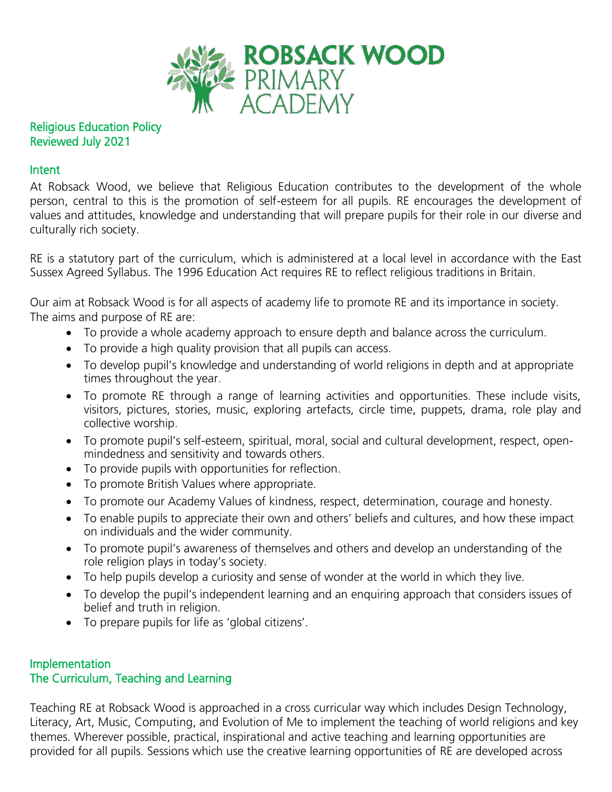

# Religious Education Policy Reviewed July 2021

### Intent

At Robsack Wood, we believe that Religious Education contributes to the development of the whole person, central to this is the promotion of self-esteem for all pupils. RE encourages the development of values and attitudes, knowledge and understanding that will prepare pupils for their role in our diverse and culturally rich society.

RE is a statutory part of the curriculum, which is administered at a local level in accordance with the East Sussex Agreed Syllabus. The 1996 Education Act requires RE to reflect religious traditions in Britain.

Our aim at Robsack Wood is for all aspects of academy life to promote RE and its importance in society. The aims and purpose of RE are:

- To provide a whole academy approach to ensure depth and balance across the curriculum.
- To provide a high quality provision that all pupils can access.
- To develop pupil's knowledge and understanding of world religions in depth and at appropriate times throughout the year.
- To promote RE through a range of learning activities and opportunities. These include visits, visitors, pictures, stories, music, exploring artefacts, circle time, puppets, drama, role play and collective worship.
- To promote pupil's self-esteem, spiritual, moral, social and cultural development, respect, openmindedness and sensitivity and towards others.
- To provide pupils with opportunities for reflection.
- To promote British Values where appropriate.
- To promote our Academy Values of kindness, respect, determination, courage and honesty.
- To enable pupils to appreciate their own and others' beliefs and cultures, and how these impact on individuals and the wider community.
- To promote pupil's awareness of themselves and others and develop an understanding of the role religion plays in today's society.
- To help pupils develop a curiosity and sense of wonder at the world in which they live.
- To develop the pupil's independent learning and an enquiring approach that considers issues of belief and truth in religion.
- To prepare pupils for life as 'global citizens'.

# Implementation The Curriculum, Teaching and Learning

Teaching RE at Robsack Wood is approached in a cross curricular way which includes Design Technology, Literacy, Art, Music, Computing, and Evolution of Me to implement the teaching of world religions and key themes. Wherever possible, practical, inspirational and active teaching and learning opportunities are provided for all pupils. Sessions which use the creative learning opportunities of RE are developed across